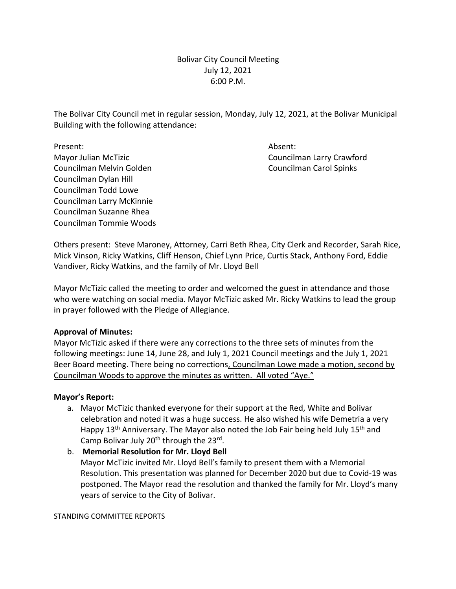Bolivar City Council Meeting 6:00 P.M. July 12, 2021

 The Bolivar City Council met in regular session, Monday, July 12, 2021, at the Bolivar Municipal Building with the following attendance:

Present: Absent: Absent: Absent: Absent: Absent: Absent: Absent: Absent: Absent: Absent: Absent: Absent:  $\overline{A}$ **Mayor Julian McTizic** Councilman Melvin Golden Councilman Carol Spinks Councilman Dylan Hill Councilman Todd Lowe Councilman Larry McKinnie Councilman Suzanne Rhea Councilman Tommie Woods

Councilman Larry Crawford

 Others present: Steve Maroney, Attorney, Carri Beth Rhea, City Clerk and Recorder, Sarah Rice, Mick Vinson, Ricky Watkins, Cliff Henson, Chief Lynn Price, Curtis Stack, Anthony Ford, Eddie Vandiver, Ricky Watkins, and the family of Mr. Lloyd Bell

 Mayor McTizic called the meeting to order and welcomed the guest in attendance and those who were watching on social media. Mayor McTizic asked Mr. Ricky Watkins to lead the group in prayer followed with the Pledge of Allegiance.

#### **Approval of Minutes:**

 Mayor McTizic asked if there were any corrections to the three sets of minutes from the following meetings: June 14, June 28, and July 1, 2021 Council meetings and the July 1, 2021 Beer Board meeting. There being no corrections, Councilman Lowe made a motion, second by Councilman Woods to approve the minutes as written. All voted "Aye."

#### **Mayor's Report:**

 a. Mayor McTizic thanked everyone for their support at the Red, White and Bolivar celebration and noted it was a huge success. He also wished his wife Demetria a very Happy 13<sup>th</sup> Anniversary. The Mayor also noted the Job Fair being held July 15<sup>th</sup> and Camp Bolivar July 20<sup>th</sup> through the 23<sup>rd</sup>.

 b. **Memorial Resolution for Mr. Lloyd Bell**  Mayor McTizic invited Mr. Lloyd Bell's family to present them with a Memorial Resolution. This presentation was planned for December 2020 but due to Covid-19 was postponed. The Mayor read the resolution and thanked the family for Mr. Lloyd's many years of service to the City of Bolivar.

STANDING COMMITTEE REPORTS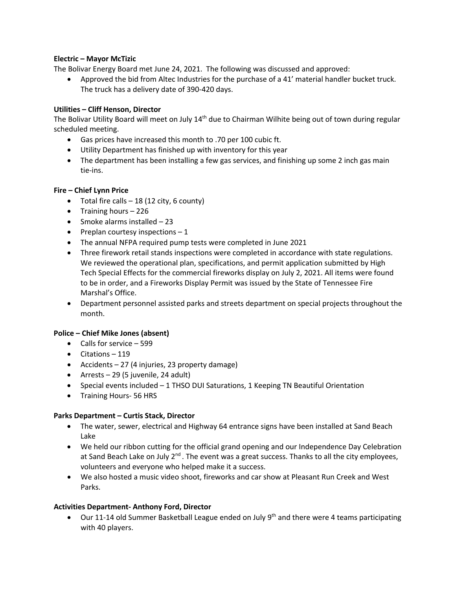#### **Electric – Mayor McTizic**

The Bolivar Energy Board met June 24, 2021. The following was discussed and approved:

 • Approved the bid from Altec Industries for the purchase of a 41' material handler bucket truck. The truck has a delivery date of 390-420 days.

#### **Utilities – Cliff Henson, Director**

The Bolivar Utility Board will meet on July 14<sup>th</sup> due to Chairman Wilhite being out of town during regular scheduled meeting.

- Gas prices have increased this month to .70 per 100 cubic ft.
- Utility Department has finished up with inventory for this year
- • The department has been installing a few gas services, and finishing up some 2 inch gas main tie-ins.

#### **Fire – Chief Lynn Price**

- Total fire calls  $-18$  (12 city, 6 county)
- Training hours 226
- Smoke alarms installed 23
- $\bullet$  Preplan courtesy inspections  $-1$
- The annual NFPA required pump tests were completed in June 2021
- • Three firework retail stands inspections were completed in accordance with state regulations. We reviewed the operational plan, specifications, and permit application submitted by High to be in order, and a Fireworks Display Permit was issued by the State of Tennessee Fire Marshal's Office. Tech Special Effects for the commercial fireworks display on July 2, 2021. All items were found
- • Department personnel assisted parks and streets department on special projects throughout the month.

#### **Police – Chief Mike Jones (absent)**

- Calls for service 599
- Citations 119
- Accidents 27 (4 injuries, 23 property damage)
- Arrests 29 (5 juvenile, 24 adult)
- Special events included 1 THSO DUI Saturations, 1 Keeping TN Beautiful Orientation
- Training Hours- 56 HRS

#### **Parks Department – Curtis Stack, Director**

- • The water, sewer, electrical and Highway 64 entrance signs have been installed at Sand Beach Lake
- • We held our ribbon cutting for the official grand opening and our Independence Day Celebration volunteers and everyone who helped make it a success. at Sand Beach Lake on July  $2^{nd}$ . The event was a great success. Thanks to all the city employees,
- • We also hosted a music video shoot, fireworks and car show at Pleasant Run Creek and West Parks.

#### **Activities Department- Anthony Ford, Director**

• Our 11-14 old Summer Basketball League ended on July  $9<sup>th</sup>$  and there were 4 teams participating with 40 players.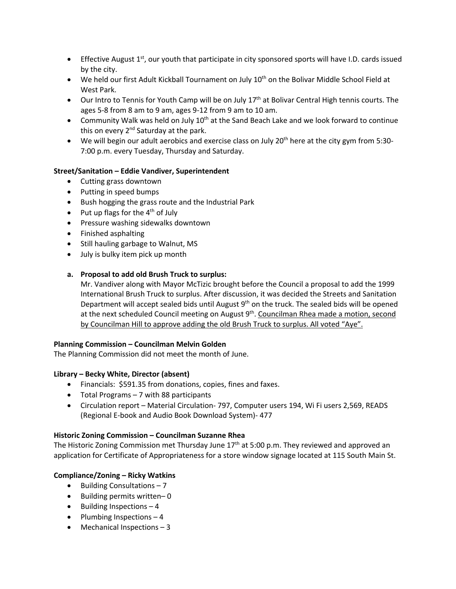- **•** Effective August  $1^{st}$ , our youth that participate in city sponsored sports will have I.D. cards issued by the city.
- We held our first Adult Kickball Tournament on July  $10^{th}$  on the Bolivar Middle School Field at West Park.
- Our Intro to Tennis for Youth Camp will be on July 17<sup>th</sup> at Bolivar Central High tennis courts. The ages 5-8 from 8 am to 9 am, ages 9-12 from 9 am to 10 am.
- Community Walk was held on July  $10^{th}$  at the Sand Beach Lake and we look forward to continue this on every 2<sup>nd</sup> Saturday at the park.
- We will begin our adult aerobics and exercise class on July  $20<sup>th</sup>$  here at the city gym from 5:30-7:00 p.m. every Tuesday, Thursday and Saturday.

#### **Street/Sanitation – Eddie Vandiver, Superintendent**

- Cutting grass downtown
- Putting in speed bumps
- Bush hogging the grass route and the Industrial Park
- Put up flags for the  $4<sup>th</sup>$  of July
- Pressure washing sidewalks downtown
- Finished asphalting
- Still hauling garbage to Walnut, MS
- July is bulky item pick up month

#### **a. Proposal to add old Brush Truck to surplus:**

 Mr. Vandiver along with Mayor McTizic brought before the Council a proposal to add the 1999 Department will accept sealed bids until August 9<sup>th</sup> on the truck. The sealed bids will be opened at the next scheduled Council meeting on August 9<sup>th</sup>. Councilman Rhea made a motion, second by Councilman Hill to approve adding the old Brush Truck to surplus. All voted "Aye". International Brush Truck to surplus. After discussion, it was decided the Streets and Sanitation

#### **Planning Commission – Councilman Melvin Golden**

The Planning Commission did not meet the month of June.

#### **Library – Becky White, Director (absent)**

- Financials: \$591.35 from donations, copies, fines and faxes.
- Total Programs 7 with 88 participants
- • Circulation report Material Circulation- 797, Computer users 194, Wi Fi users 2,569, READS (Regional E-book and Audio Book Download System)- 477

#### **Historic Zoning Commission – Councilman Suzanne Rhea**

The Historic Zoning Commission met Thursday June 17<sup>th</sup> at 5:00 p.m. They reviewed and approved an application for Certificate of Appropriateness for a store window signage located at 115 South Main St.

#### **Compliance/Zoning – Ricky Watkins**

- Building Consultations 7
- Building permits written– 0
- Building Inspections 4
- Plumbing Inspections 4
- Mechanical Inspections 3